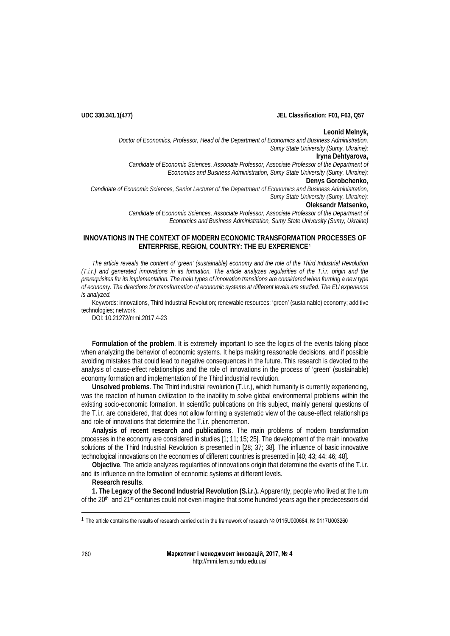**UDC 330.341.1(477) JEL Classification: F01, F63, Q57**

## **Leonid Melnyk,**

*Doctor of Economics, Professor, Head of the Department of Economics and Business Administration, Sumy State University (Sumy, Ukraine);* **Iryna Dehtyarova,** *Candidate of Economic Sciences, Associate Professor, Associate Professor of the Department of* 

*Economics and Business Administration, Sumy State University (Sumy, Ukraine);* **Denys Gorobchenko,**

*Candidate of Economic Sciences, Senior Lecturer of the Department of Economics and Business Administration, Sumy State University (Sumy, Ukraine);* **Oleksandr Matsenko,**

*Candidate of Economic Sciences, Associate Professor, Associate Professor of the Department of Economics and Business Administration, Sumy State University (Sumy, Ukraine)*

# **INNOVATIONS IN THE CONTEXT OF MODERN ECONOMIC TRANSFORMATION PROCESSES OF ENTERPRISE, REGION, COUNTRY: THE EU EXPERIENCE**[1](#page-0-0)

*The article reveals the content of 'green' (sustainable) economy and the role of the Third Industrial Revolution (T.i.r.) and generated innovations in its formation. The article analyzes regularities of the T.i.r. origin and the prerequisites for its implementation. The main types of innovation transitions are considered when forming a new type of economy. The directions for transformation of economic systems at different levels are studied. The EU experience is analyzed.*

Keywords: innovations, Third Industrial Revolution; renewable resources; 'green' (sustainable) economy; additive technologies; network.

DOI: 10.21272/mmi.2017.4-23

**Formulation of the problem**. It is extremely important to see the logics of the events taking place when analyzing the behavior of economic systems. It helps making reasonable decisions, and if possible avoiding mistakes that could lead to negative consequences in the future. This research is devoted to the analysis of cause-effect relationships and the role of innovations in the process of 'green' (sustainable) economy formation and implementation of the Third industrial revolution.

**Unsolved problems**. The Third industrial revolution (T.i.r.), which humanity is currently experiencing, was the reaction of human civilization to the inability to solve global environmental problems within the existing socio-economic formation. In scientific publications on this subject, mainly general questions of the T.i.r. are considered, that does not allow forming a systematic view of the cause-effect relationships and role of innovations that determine the T.i.r. phenomenon.

**Analysis of recent research and publications**. The main problems of modern transformation processes in the economy are considered in studies [1; 11; 15; 25]. The development of the main innovative solutions of the Third Industrial Revolution is presented in [28; 37; 38]. The influence of basic innovative technological innovations on the economies of different countries is presented in [40; 43; 44; 46; 48].

**Objective**. The article analyzes regularities of innovations origin that determine the events of the T.i.r. and its influence on the formation of economic systems at different levels.

**Research results**.

**1. The Legacy of the Second Industrial Revolution (S.i.r.).** Apparently, people who lived at the turn of the 20<sup>th</sup> and 21<sup>st</sup> centuries could not even imagine that some hundred years ago their predecessors did

 $\overline{a}$ 

<span id="page-0-0"></span><sup>1</sup> The article contains the results of research carried out in the framework of research № 0115U000684, № 0117U003260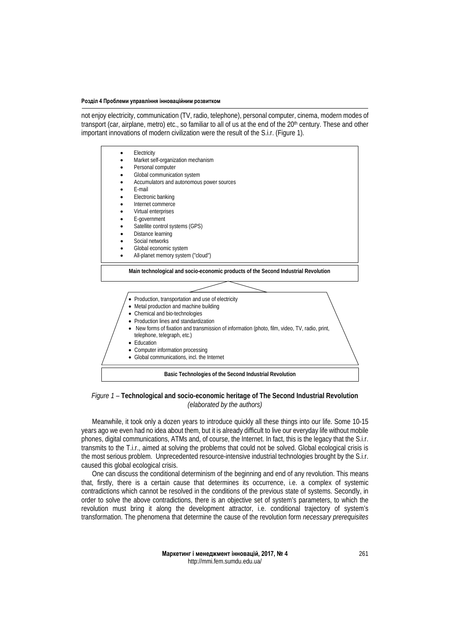not enjoy electricity, communication (TV, radio, telephone), personal computer, cinema, modern modes of transport (car, airplane, metro) etc., so familiar to all of us at the end of the 20th century. These and other important innovations of modern civilization were the result of the S.i.r. (Figure 1).



# *Figure 1 –* **Technological and socio-economic heritage of The Second Industrial Revolution** *(elaborated by the authors)*

Meanwhile, it took only a dozen years to introduce quickly all these things into our life. Some 10-15 years ago we even had no idea about them, but it is already difficult to live our everyday life without mobile phones, digital communications, ATMs and, of course, the Internet. In fact, this is the legacy that the S.i.r. transmits to the T.i.r., aimed at solving the problems that could not be solved. Global ecological crisis is the most serious problem. Unprecedented resource-intensive industrial technologies brought by the S.i.r. caused this global ecological crisis.

One can discuss the conditional determinism of the beginning and end of any revolution. This means that, firstly, there is a certain cause that determines its occurrence, i.e. a complex of systemic contradictions which cannot be resolved in the conditions of the previous state of systems. Secondly, in order to solve the above contradictions, there is an objective set of system's parameters, to which the revolution must bring it along the development attractor, i.e. conditional trajectory of system's transformation. The phenomena that determine the cause of the revolution form *necessary prerequisites*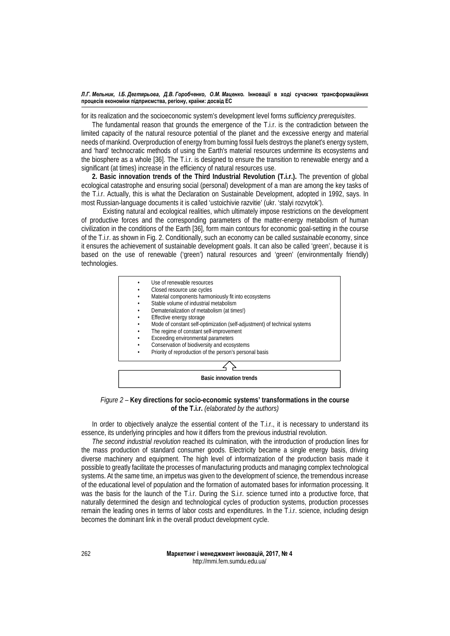for its realization and the socioeconomic system's development level forms *sufficiency prerequisites*.

The fundamental reason that grounds the emergence of the T.i.r. is the contradiction between the limited capacity of the natural resource potential of the planet and the excessive energy and material needs of mankind. Overproduction of energy from burning fossil fuels destroys the planet's energy system, and 'hard' technocratic methods of using the Earth's material resources undermine its ecosystems and the biosphere as a whole [36]. The T.i.r. is designed to ensure the transition to renewable energy and a significant (at times) increase in the efficiency of natural resources use.

**2. Basic innovation trends of the Third Industrial Revolution (T.i.r.).** The prevention of global ecological catastrophe and ensuring social (personal) development of a man are among the key tasks of the T.i.r. Actually, this is what the Declaration on Sustainable Development, adopted in 1992, says. In most Russian-language documents it is called 'ustoichivie razvitie' (ukr. 'stalyi rozvytok').

Existing natural and ecological realities, which ultimately impose restrictions on the development of productive forces and the corresponding parameters of the matter-energy metabolism of human civilization in the conditions of the Earth [36], form main contours for economic goal-setting in the course of the T.i.r. as shown in Fig. 2. Conditionally, such an economy can be called *sustainable* economy, since it ensures the achievement of sustainable development goals. It can also be called 'green', because it is based on the use of renewable ('green') natural resources and 'green' (environmentally friendly) technologies.



*Figure 2 –* **Key directions for socio-economic systems' transformations in the course of the T.i.r.** *(elaborated by the authors)*

In order to objectively analyze the essential content of the T.i.r., it is necessary to understand its essence, its underlying principles and how it differs from the previous industrial revolution.

*The second industrial revolution* reached its culmination, with the introduction of production lines for the mass production of standard consumer goods. Electricity became a single energy basis, driving diverse machinery and equipment. The high level of informatization of the production basis made it possible to greatly facilitate the processes of manufacturing products and managing complex technological systems. At the same time, an impetus was given to the development of science, the tremendous increase of the educational level of population and the formation of automated bases for information processing. It was the basis for the launch of the T.i.r. During the S.i.r. science turned into a productive force, that naturally determined the design and technological cycles of production systems, production processes remain the leading ones in terms of labor costs and expenditures. In the T.i.r. science, including design becomes the dominant link in the overall product development cycle.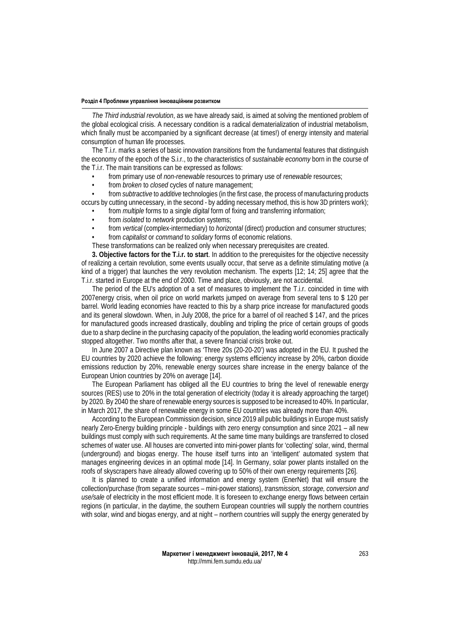*The Third industrial revolution*, as we have already said, is aimed at solving the mentioned problem of the global ecological crisis. A necessary condition is a radical dematerialization of industrial metabolism, which finally must be accompanied by a significant decrease (at times!) of energy intensity and material consumption of human life processes.

The T.i.r. marks a series of basic innovation *transitions* from the fundamental features that distinguish the economy of the epoch of the S.i.r., to the characteristics of *sustainable economy* born in the course of the T.i.r. The main transitions can be expressed as follows:

- from primary use of *non-renewable* resources to primary use of *renewable* resources;
- from *broken* to *closed* cycles of nature management;

• from *subtractive* to *additive* technologies (in the first case, the process of manufacturing products occurs by cutting unnecessary, in the second - by adding necessary method, this is how 3D printers work);

- from *multiple* forms to a single *digital* form of fixing and transferring information;
- from *isolated* to *network* production systems;
- from *vertical* (complex-intermediary) to *horizontal* (direct) production and consumer structures;
- from *capitalist* or *command* to *solidary* forms of economic relations.

These transformations can be realized only when necessary prerequisites are created.

**3. Objective factors for the T.i.r. to start**. In addition to the prerequisites for the objective necessity of realizing a certain revolution, some events usually occur, that serve as a definite stimulating motive (a kind of a trigger) that launches the very revolution mechanism. The experts [12; 14; 25] agree that the T.i.r. started in Europe at the end of 2000. Time and place, obviously, are not accidental.

The period of the EU's adoption of a set of measures to implement the T.i.r. coincided in time with 2007energy crisis, when oil price on world markets jumped on average from several tens to \$ 120 per barrel. World leading economies have reacted to this by a sharp price increase for manufactured goods and its general slowdown. When, in July 2008, the price for a barrel of oil reached \$ 147, and the prices for manufactured goods increased drastically, doubling and tripling the price of certain groups of goods due to a sharp decline in the purchasing capacity of the population, the leading world economies practically stopped altogether. Two months after that, a severe financial crisis broke out.

In June 2007 a Directive plan known as 'Three 20s (20-20-20') was adopted in the EU. It pushed the EU countries by 2020 achieve the following: energy systems efficiency increase by 20%, carbon dioxide emissions reduction by 20%, renewable energy sources share increase in the energy balance of the European Union countries by 20% on average [14].

The European Parliament has obliged all the EU countries to bring the level of renewable energy sources (RES) use to 20% in the total generation of electricity (today it is already approaching the target) by 2020. By 2040 the share of renewable energy sources is supposed to be increased to 40%. In particular, in March 2017, the share of renewable energy in some EU countries was already more than 40%.

According to the European Commission decision, since 2019 all public buildings in Europe must satisfy nearly Zero-Energy building principle - buildings with zero energy consumption and since 2021 – all new buildings must comply with such requirements. At the same time many buildings are transferred to closed schemes of water use. All houses are converted into mini-power plants for 'collecting' solar, wind, thermal (underground) and biogas energy. The house itself turns into an 'intelligent' automated system that manages engineering devices in an optimal mode [14]. In Germany, solar power plants installed on the roofs of skyscrapers have already allowed covering up to 50% of their own energy requirements [26].

It is planned to create a unified information and energy system (EnerNet) that will ensure the collection/purchase (from separate sources – mini-power stations), *transmission, storage, conversion and use/sale* of electricity in the most efficient mode. It is foreseen to exchange energy flows between certain regions (in particular, in the daytime, the southern European countries will supply the northern countries with solar, wind and biogas energy, and at night – northern countries will supply the energy generated by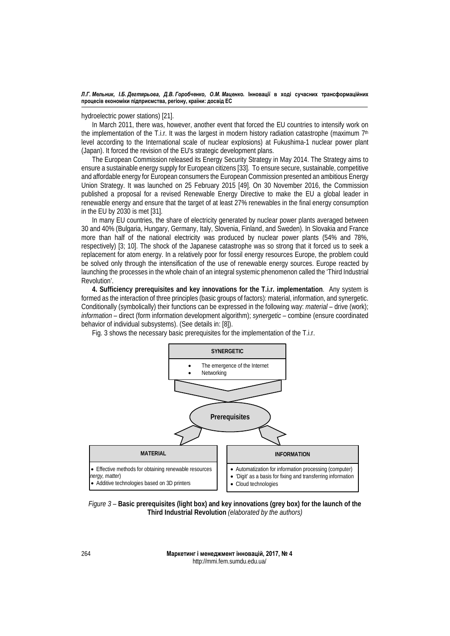hydroelectric power stations) [21].

In March 2011, there was, however, another event that forced the EU countries to intensify work on the implementation of the T.i.r. It was the largest in modern history radiation catastrophe (maximum  $7<sup>th</sup>$ level according to the International scale of nuclear explosions) at Fukushima-1 nuclear power plant (Japan). It forced the revision of the EU's strategic development plans.

The European Commission released its Energy Security Strategy in May 2014. The Strategy aims to ensure a sustainable energy supply for European citizens [33]. To ensure secure, sustainable, competitive and affordable energy for European consumers the European Commission presented an ambitious Energy Union Strategy. It was launched on 25 February 2015 [49]. On 30 November 2016, the Commission published a proposal for a revised Renewable Energy Directive to make the EU a global leader in renewable energy and ensure that the target of at least 27% renewables in the final energy consumption in the EU by 2030 is met [31].

In many EU countries, the share of electricity generated by nuclear power plants averaged between 30 and 40% (Bulgaria, Hungary, Germany, Italy, Slovenia, Finland, and Sweden). In Slovakia and France more than half of the national electricity was produced by nuclear power plants (54% and 78%, respectively) [3; 10]. The shock of the Japanese catastrophe was so strong that it forced us to seek a replacement for atom energy. In a relatively poor for fossil energy resources Europe, the problem could be solved only through the intensification of the use of renewable energy sources. Europe reacted by launching the processes in the whole chain of an integral systemic phenomenon called the 'Third Industrial Revolution'.

**4. Sufficiency prerequisites and key innovations for the T.i.r. implementation**. Any system is formed as the interaction of three principles (basic groups of factors): material, information, and synergetic. Conditionally (symbolically) their functions can be expressed in the following way: *material* – drive (work); *information* – direct (form information development algorithm); *synergetic* – combine (ensure coordinated behavior of individual subsystems). (See details in: [8]).



Fig. 3 shows the necessary basic prerequisites for the implementation of the T.i.r.

*Figure 3 –* **Basic prerequisites (light box) and key innovations (grey box) for the launch of the Third Industrial Revolution** *(elaborated by the authors)*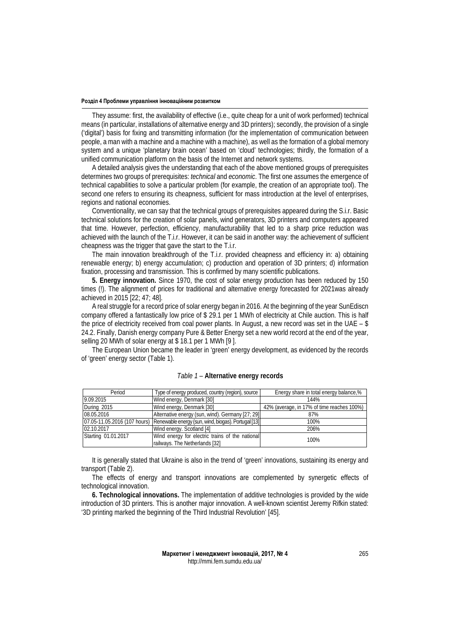They assume: first, the availability of effective (i.e., quite cheap for a unit of work performed) technical means (in particular, installations of alternative energy and 3D printers); secondly, the provision of a single ('digital') basis for fixing and transmitting information (for the implementation of communication between people, a man with a machine and a machine with a machine), as well as the formation of a global memory system and a unique 'planetary brain ocean' based on 'cloud' technologies; thirdly, the formation of a unified communication platform on the basis of the Internet and network systems.

A detailed analysis gives the understanding that each of the above mentioned groups of prerequisites determines two groups of prerequisites: *technical* and *economic*. The first one assumes the emergence of technical capabilities to solve a particular problem (for example, the creation of an appropriate tool). The second one refers to ensuring its cheapness, sufficient for mass introduction at the level of enterprises, regions and national economies.

Conventionality, we can say that the technical groups of prerequisites appeared during the S.i.r. Basic technical solutions for the creation of solar panels, wind generators, 3D printers and computers appeared that time. However, perfection, efficiency, manufacturability that led to a sharp price reduction was achieved with the launch of the T.i.r. However, it can be said in another way: the achievement of sufficient cheapness was the trigger that gave the start to the T.i.r.

The main innovation breakthrough of the T.i.r. provided cheapness and efficiency in: a) obtaining renewable energy; b) energy accumulation; c) production and operation of 3D printers; d) information fixation, processing and transmission. This is confirmed by many scientific publications.

**5. Energy innovation.** Since 1970, the cost of solar energy production has been reduced by 150 times (!). The alignment of prices for traditional and alternative energy forecasted for 2021was already achieved in 2015 [22; 47; 48].

A real struggle for a record price of solar energy began in 2016. At the beginning of the year SunEdiscn company offered a fantastically low price of \$ 29.1 per 1 MWh of electricity at Chile auction. This is half the price of electricity received from coal power plants. In August, a new record was set in the UAE – \$ 24.2. Finally, Danish energy company Pure & Better Energy set a new world record at the end of the year, selling 20 MWh of solar energy at \$ 18.1 per 1 MWh [9 ].

The European Union became the leader in 'green' energy development, as evidenced by the records of 'green' energy sector (Table 1).

| Period              | Type of energy produced, country (region), source                                | Energy share in total energy balance,%     |  |
|---------------------|----------------------------------------------------------------------------------|--------------------------------------------|--|
| 9.09.2015           | Wind energy, Denmark [30]                                                        | 144%                                       |  |
| During 2015         | Wind energy, Denmark [30]                                                        | 42% (average, in 17% of time reaches 100%) |  |
| 08.05.2016          | Alternative energy (sun, wind). Germany [27; 29]                                 | 87%                                        |  |
|                     | 07.05-11.05.2016 (107 hours) Renewable energy (sun, wind, biogas). Portugal [13] | 100%                                       |  |
| 02.10.2017          | Wind energy. Scotland [4]                                                        | 206%                                       |  |
| Starting 01.01.2017 | Wind energy for electric trains of the national                                  | 100%                                       |  |
|                     | railways. The Netherlands [32]                                                   |                                            |  |

## *Table 1* – **Alternative energy records**

It is generally stated that Ukraine is also in the trend of 'green' innovations, sustaining its energy and transport (Table 2).

The effects of energy and transport innovations are complemented by synergetic effects of technological innovation.

**6. Technological innovations.** The implementation of additive technologies is provided by the wide introduction of 3D printers. This is another major innovation. A well-known scientist Jeremy Rifkin stated: '3D printing marked the beginning of the Third Industrial Revolution' [45].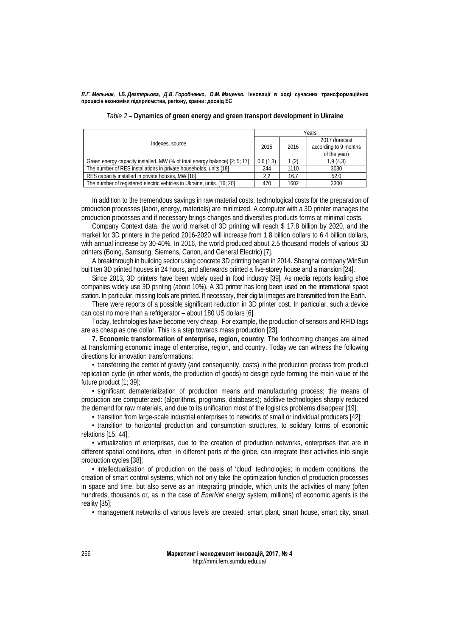| Indexes, source                                                            |          | Years |                                                         |  |
|----------------------------------------------------------------------------|----------|-------|---------------------------------------------------------|--|
|                                                                            |          | 2016  | 2017 (forecast<br>according to 9 months<br>of the year) |  |
| Green energy capacity installed, MW (% of total energy balance) [2: 5: 17] | 0.6(1.3) | 1(2)  | 1,9(4,3)                                                |  |
| The number of RES installations in private households, units [18]          |          | 1110  | 3030                                                    |  |
| RES capacity installed in private houses, MW [18]                          |          | 16.7  | 52.0                                                    |  |
| The number of registered electric vehicles in Ukraine, units. [16; 20]     |          | 1602  | 3300                                                    |  |

| Table 2 – Dynamics of green energy and green transport development in Ukraine |  |  |
|-------------------------------------------------------------------------------|--|--|
|-------------------------------------------------------------------------------|--|--|

In addition to the tremendous savings in raw material costs, technological costs for the preparation of production processes (labor, energy, materials) are minimized. A computer with a 3D printer manages the production processes and if necessary brings changes and diversifies products forms at minimal costs.

Company Context data, the world market of 3D printing will reach \$ 17.8 billion by 2020, and the market for 3D printers in the period 2016-2020 will increase from 1.8 billion dollars to 6.4 billion dollars, with annual increase by 30-40%. In 2016, the world produced about 2.5 thousand models of various 3D printers (Boing, Samsung, Siemens, Canon, and General Electric) [7].

A breakthrough in building sector using concrete 3D printing began in 2014. Shanghai company WinSun built ten 3D printed houses in 24 hours, and afterwards printed a five-storey house and a mansion [24].

Since 2013, 3D printers have been widely used in food industry [39]. As media reports leading shoe companies widely use 3D printing (about 10%). A 3D printer has long been used on the international space station. In particular, missing tools are printed. If necessary, their digital images are transmitted from the Earth**.**

There were reports of a possible significant reduction in 3D printer cost. In particular, such a device can cost no more than a refrigerator – about 180 US dollars [6].

Today, technologies have become very cheap. For example, the production of sensors and RFID tags are as cheap as one dollar. This is a step towards mass production [23].

**7. Economic transformation of enterprise, region, country**. The forthcoming changes are aimed at transforming economic image of enterprise, region, and country. Today we can witness the following directions for innovation transformations:

• transferring the center of gravity (and consequently, costs) in the production process from product replication cycle (in other words, the production of goods) to design cycle forming the main value of the future product [1; 39];

• significant dematerialization of production means and manufacturing process; the means of production are computerized: (algorithms, programs, databases); additive technologies sharply reduced the demand for raw materials, and due to its unification most of the logistics problems disappear [19];

• transition from large-scale industrial enterprises to networks of small or individual producers [42];

• transition to horizontal production and consumption structures, to solidary forms of economic relations [15; 44];

• virtualization of enterprises, due to the creation of production networks, enterprises that are in different spatial conditions, often in different parts of the globe, can integrate their activities into single production cycles [38];

• intellectualization of production on the basis of 'cloud' technologies; in modern conditions, the creation of smart control systems, which not only take the optimization function of production processes in space and time, but also serve as an integrating principle, which units the activities of many (often hundreds, thousands or, as in the case of *EnerNet* energy system, millions) of economic agents is the reality [35];

• management networks of various levels are created: smart plant, smart house, smart city, smart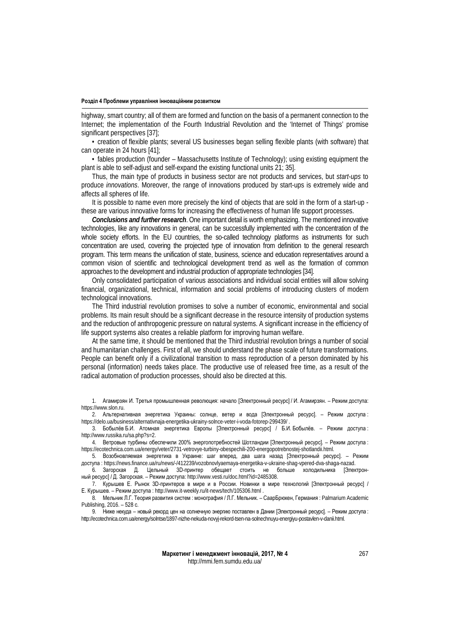highway, smart country; all of them are formed and function on the basis of a permanent connection to the Internet; the implementation of the Fourth Industrial Revolution and the 'Internet of Things' promise significant perspectives [37];

• creation of flexible plants; several US businesses began selling flexible plants (with software) that can operate in 24 hours [41];

• fables production (founder – Massachusetts Institute of Technology); using existing equipment the plant is able to self-adjust and self-expand the existing functional units 21; 35].

Thus, the main type of products in business sector are not products and services, but *start-ups* to produce *innovations*. Moreover, the range of innovations produced by start-ups is extremely wide and affects all spheres of life.

It is possible to name even more precisely the kind of objects that are sold in the form of a start-up these are various innovative forms for increasing the effectiveness of human life support processes.

*Conclusions and further research*. One important detail is worth emphasizing. The mentioned innovative technologies, like any innovations in general, can be successfully implemented with the concentration of the whole society efforts. In the EU countries, the so-called technology platforms as instruments for such concentration are used, covering the projected type of innovation from definition to the general research program. This term means the unification of state, business, science and education representatives around a common vision of scientific and technological development trend as well as the formation of common approaches to the development and industrial production of appropriate technologies [34].

Only consolidated participation of various associations and individual social entities will allow solving financial, organizational, technical, information and social problems of introducing clusters of modern technological innovations.

The Third industrial revolution promises to solve a number of economic, environmental and social problems. Its main result should be a significant decrease in the resource intensity of production systems and the reduction of anthropogenic pressure on natural systems. A significant increase in the efficiency of life support systems also creates a reliable platform for improving human welfare.

At the same time, it should be mentioned that the Third industrial revolution brings a number of social and humanitarian challenges. First of all, we should understand the phase scale of future transformations. People can benefit only if a civilizational transition to mass reproduction of a person dominated by his personal (information) needs takes place. The productive use of released free time, as a result of the radical automation of production processes, should also be directed at this.

1. Агамирзян И. Третья промышленная революция: начало [Электронный ресурс] / И. Агамирзян. – Режим доступа: [https://www.slon.ru.](https://www.slon.ru/)

2. Альтернативная энергетика Украины: солнце, ветер и вода [Электронный ресурс]. – Режим доступа : <https://delo.ua/business/alternativnaja-energetika-ukrainy-solnce-veter-i-voda-fotorep-299439/> .

3. Бобылёв Б.И. Атомная энергетика Европы [Электронный ресурс] / Б.И. Бобылёв. – Режим доступа : [http://www.russika.ru/sa.php?s=2.](http://www.russika.ru/sa.php?s=2)

4. Ветровые турбины обеспечили 200% энергопотребностей Шотландии [Электронный ресурс]. – Режим доступа : [https://ecotechnica.com.ua/energy/veter/2731-vetrovye-turbiny-obespechili-200-energopotrebnostej-shotlandii.html.](https://ecotechnica.com.ua/energy/veter/2731-vetrovye-turbiny-obespechili-200-energopotrebnostej-shotlandii.html)

5. Возобновляемая энергетика в Украине: шаг вперед, два шага назад [Электронный ресурс]. – Режим доступа : [https://news.finance.ua/ru/news/-/412239/vozobnovlyaemaya-energetika-v-ukraine-shag-vpered-dva-shaga-nazad.](https://news.finance.ua/ru/news/-/412239/vozobnovlyaemaya-energetika-v-ukraine-shag-vpered-dva-shaga-nazad)

6. Загорская Д. Цельный 3D-принтер обещает стоить не больше холодильника [Электронный ресурс] / Д. Загорская. – Режим доступа: [http://www.vesti.ru/doc.html?id=2485308.](http://www.vesti.ru/doc.html?id=2485308) 

7. Курышев Е. Рынок 3D-принтеров в мире и в России. Новинки в мире технологий [Электронный ресурс] / Е. Курышев. – Режим доступа [: http://www.it-weekly.ru/it-news/tech/105306.html](http://www.it-weekly.ru/it-news/tech/105306.html) .

8. Мельник Л.Г. Теория развития систем : монография / Л.Г. Мельник. – СаарБрюкен, Германия : Palmarium Academic Publishing, 2016. – 528 с.

9. Ниже некуда – новый рекорд цен на солнечную энергию поставлен в Дании [Электронный ресурс]. – Режим доступа : [http://ecotechnica.com.ua/energy/solntse/1897-nizhe-nekuda-novyj-rekord-tsen-na-solnechnuyu-energiyu-postavlen-v-danii.html.](http://ecotechnica.com.ua/energy/solntse/1897-nizhe-nekuda-novyj-rekord-tsen-na-solnechnuyu-energiyu-postavlen-v-danii.html)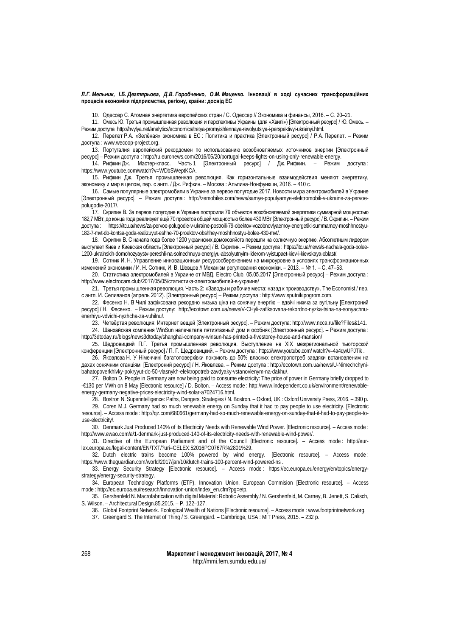10. Одессер С. Атомная энергетика европейских стран / С. Одессер // Экономика и финансы, 2016. – С. 20–21.

11. Омесь Ю. Третья промышленная революция и перспективы Украины (для «Хвилі») [Электронный ресурс] / Ю. Омесь. – Режим доступа [http://hvylya.net/analytics/economics/tretya-promyishlennaya-revolyutsiya-i-perspektivyi-ukrainyi.html.](http://hvylya.net/analytics/economics/tretya-promyishlennaya-revolyutsiya-i-perspektivyi-ukrainyi.html)

12. Перелет Р.А. «Зелёная» экономика в ЕС : Политика и практика [Электронный ресурс] / Р.А. Перелет. – Режим доступа [: www.wecoop-project.org.](http://www.wecoop-project.org/)

13. Португалия европейский рекордсмен по использованию возобновляемых источников энергии [Электронный ресурс] – Режим доступа [: http://ru.euronews.com/2016/05/20/portugal-keeps-lights-on-using-only-renewable-energy.](http://ru.euronews.com/2016/05/20/portugal-keeps-lights-on-using-only-renewable-energy)

Часть 1 [Электронный ресурс] / Дж. Рифкин. – Режим доступа : [https://www.youtube.com/watch?v=WDbSWeptKCA.](https://www.youtube.com/watch?v=WDbSWeptKCA)

15. Рифкин Дж. Третья промышленная революция. Как горизонтальные взаимодействия меняют энергетику, экономику и мир в целом, пер. с англ. / Дж. Рифкин. – Москва : Альпина-Нонфункшн, 2016. – 410 с.

16. Самые популярные электромобили в Украине за первое полугодие 2017. Новости мира электромобилей в Украине [Электронный ресурс]. – Режим доступа : [http://zemobiles.com/news/samye-populyarnye-elektromobili-v-ukraine-za-pervoe](http://zemobiles.com/news/samye-populyarnye-elektromobili-v-ukraine-za-pervoe-polugodie-2017/)[polugodie-2017/.](http://zemobiles.com/news/samye-populyarnye-elektromobili-v-ukraine-za-pervoe-polugodie-2017/)

17. Скрипин В. За первое полугодие в Украине построили 79 объектов возобновляемой энергетики суммарной мощностью 182,7 МВт, до конца года реализует ещё 70 проектов общей мощностью более 430 МВт[Электронный ресурс] / В. Скрипин. – Режим доступа : [https://itc.ua/news/za-pervoe-polugodie-v-ukraine-postroili-79-obektov-vozobnovlyaemoy-energetiki-summarnoy-moshhnostyu-](https://itc.ua/news/za-pervoe-polugodie-v-ukraine-postroili-79-obektov-vozobnovlyaemoy-energetiki-summarnoy-moshhnostyu-182-7-mvt-do-kontsa-goda-realizuyut-eshhe-70-proektov-obshhey-moshhnostyu-bolee-430-mvt/)[182-7-mvt-do-kontsa-goda-realizuyut-eshhe-70-proektov-obshhey-moshhnostyu-bolee-430-mvt/.](https://itc.ua/news/za-pervoe-polugodie-v-ukraine-postroili-79-obektov-vozobnovlyaemoy-energetiki-summarnoy-moshhnostyu-182-7-mvt-do-kontsa-goda-realizuyut-eshhe-70-proektov-obshhey-moshhnostyu-bolee-430-mvt/)

18. Скрипин В. С начала года более 1200 украинских домохозяйств перешли на солнечную энергию. Абсолютным лидером выступает Киев и Киевская область [Электронный ресурс] / В. Скрипин. – Режим доступа : [https://itc.ua/news/s-nachala-goda-bolee-](https://itc.ua/news/s-nachala-goda-bolee-1200-ukrainskih-domohozyaystv-pereshli-na-solnechnuyu-energiyu-absolyutnyim-liderom-vyistupaet-kiev-i-kievskaya-oblast/)[1200-ukrainskih-domohozyaystv-pereshli-na-solnechnuyu-energiyu-absolyutnyim-liderom-vyistupaet-kiev-i-kievskaya-oblast/.](https://itc.ua/news/s-nachala-goda-bolee-1200-ukrainskih-domohozyaystv-pereshli-na-solnechnuyu-energiyu-absolyutnyim-liderom-vyistupaet-kiev-i-kievskaya-oblast/) 

19. Сотник И. Н. Управление инновационным ресурсосбережением на микроуровне в условиях трансформационных изменений экономики / И. Н. Сотник, И. В. Шевцов // Механізм регулювання економіки. – 2013. – № 1. – С. 47–53.

20. Статистика электромобилей в Украине от МВД. Electro Club, 05.05.2017 [Электронный ресурс] – Режим доступа : [http://www.electrocars.club/2017/05/05/статистика](http://www.electrocars.club/2017/05/05/%D1%81%D1%82%D0%B0%D1%82%D0%B8%D1%81%D1%82%D0%B8%D0%BA%D0%B0-%D1%8D%D0%BB%D0%B5%D0%BA%D1%82%D1%80%D0%BE%D0%BC%D0%BE%D0%B1%D0%B8%D0%BB%D0%B5%D0%B9-%D0%B2-%D1%83%D0%BA%D1%80%D0%B0%D0%B8%D0%BD%D0%B5/)-электромобилей-в-украине/

21. Третья промышленная революция. Часть 2: «Заводы и рабочие места: назад к производству». The Economist / пер. с англ. И. Селиванов (апрель 2012). [Электронный ресурс] – Режим доступа [: http://www.sputnikipogrom.com.](http://www.sputnikipogrom.com/)

22. Фесенко Н. В Чилі зафіксована рекордно низька ціна на сонячну енергію – вдвічі нижча за вугільну [Електроний ресурс] / Н. Фесенко. – Режим доступу: [http://ecotown.com.ua/news/V-CHyli-zafiksovana-rekordno-nyzka-tsina-na-sonyachnu](http://ecotown.com.ua/news/V-CHyli-zafiksovana-rekordno-nyzka-tsina-na-sonyachnu-enerhiyu-vdvichi-nyzhcha-za-vuhilnu/)[enerhiyu-vdvichi-nyzhcha-za-vuhilnu/.](http://ecotown.com.ua/news/V-CHyli-zafiksovana-rekordno-nyzka-tsina-na-sonyachnu-enerhiyu-vdvichi-nyzhcha-za-vuhilnu/)

23. Четвёртая революция: Интернет вещей [Электронный ресурс]. – Режим доступа: [http://www.ncca.ru/file?Files&141.](http://www.ncca.ru/file?Files&141) 

24. Шанхайская компания WinSun напечатала пятиэтажный дом и особняк [Электронный ресурс]. – Режим доступа : <http://3dtoday.ru/blogs/news3dtoday/shanghai-company-winsun-has-printed-a-fivestorey-house-and-mansion/>

25. Щедровицкий П.Г. Третья промышленная революция. Выступление на XIX межрегиональной тьюторской конференции [Электронный ресурс] / П. Г. Щедровицкий. – Режим доступа : https://www.youtube.com/ watch?v=4a4qwUPJTik .

26. Яковлєва Н. У Німеччині багатоповерхівки покриють до 50% власних електропотреб завдяки встановленим на дахах сонячним станціям [Електроний ресурс] / Н. Яковлєва. – Режим доступа : [http://ecotown.com.ua/news/U-Nimechchyni](http://ecotown.com.ua/news/U-Nimechchyni-bahatopoverkhivky-pokryyut-do-50-vlasnykh-elektropotreb-zavdyaky-vstanovlenym-na-dakhu/)[bahatopoverkhivky-pokryyut-do-50-vlasnykh-elektropotreb-zavdyaky-vstanovlenym-na-dakhu/.](http://ecotown.com.ua/news/U-Nimechchyni-bahatopoverkhivky-pokryyut-do-50-vlasnykh-elektropotreb-zavdyaky-vstanovlenym-na-dakhu/) 

27. Bolton D. People in Germany are now being paid to consume electricity: The price of power in Germany briefly dropped to -€130 per MWh on 8 May [Electronic resource] / D. Bolton. – Access mode : [http://www.independent.co.uk/environment/renewable](http://www.independent.co.uk/environment/renewable-energy-germany-negative-prices-electricity-wind-solar-a7024716.html)[energy-germany-negative-prices-electricity-wind-solar-a7024716.html.](http://www.independent.co.uk/environment/renewable-energy-germany-negative-prices-electricity-wind-solar-a7024716.html) 

28. Bostron N. Superintelligence: Paths, Dangers, Strategies / N. Bostron. – Oxford, UK : Oxford University Press, 2016. – 390 p.

29. Coren M.J. Germany had so much renewable energy on Sunday that it had to pay people to use electricity. [Electronic resource]. – Access mode : [http://qz.com/680661/germany-had-so-much-renewable-energy-on-sunday-that-it-had-to-pay-people-to](http://qz.com/680661/germany-had-so-much-renewable-energy-on-sunday-that-it-had-to-pay-people-to-use-electricity/)[use-electricity/.](http://qz.com/680661/germany-had-so-much-renewable-energy-on-sunday-that-it-had-to-pay-people-to-use-electricity/) 

30. Denmark Just Produced 140% of its Electricity Needs with Renewable Wind Power. [Electronic resource]. – Access mode : [http://www.ewao.com/a/1-denmark-just-produced-140-of-its-electricity-needs-with-renewable-wind-power/.](http://www.ewao.com/a/1-denmark-just-produced-140-of-its-electricity-needs-with-renewable-wind-power/)

31. Directive of the European Parliament and of the Council [Electronic resource]. – Access mode : [http://eur](http://eur-lex.europa.eu/legal-content/EN/TXT/?uri=CELEX:52016PC0767R%2801%29)[lex.europa.eu/legal-content/EN/TXT/?uri=CELEX:52016PC0767R%2801%29.](http://eur-lex.europa.eu/legal-content/EN/TXT/?uri=CELEX:52016PC0767R%2801%29)

32. Dutch electric trains become 100% powered by wind energy. [Electronic resource]. – Access mode : <https://www.theguardian.com/world/2017/jan/10/dutch-trains-100-percent-wind-powered-ns> .

33. Energy Security Strategy [Electronic resource]. – Access mode : [https://ec.europa.eu/energy/en/topics/energy](https://ec.europa.eu/energy/en/topics/energy-strategy/energy-security-strategy)[strategy/energy-security-strategy.](https://ec.europa.eu/energy/en/topics/energy-strategy/energy-security-strategy) 

34. European Technology Platforms (ETP). Innovation Union. European Commision [Electronic resource]. – Access mode : [http://ec.europa.eu/research/innovation-union/index\\_en.cfm?pg=etp.](http://ec.europa.eu/research/innovation-union/index_en.cfm?pg=etp)

35. Gershenfeld N. Macrofabrication with digital Material: Robotic Assembly / N. Gershenfeld, M. Carney, B. Jenett, S. Calisch, S. Wilson. – Architectural Design.85.2015. – P. 122–127.

36. Global Footprint Network. Ecological Wealth of Nations [Electronic resource]. – Access mode [: www.footprintnetwork.org.](http://www.footprintnetwork.org/)

37. Greengard S. The Internet of Thing / S. Greengard. – Cambridge, USA : MIT Press, 2015. – 232 p.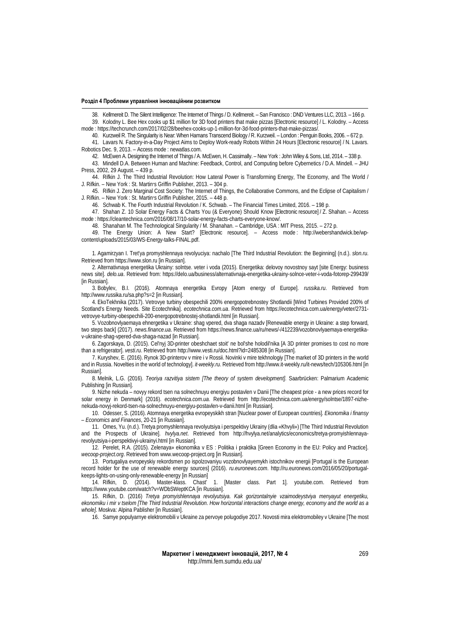38. Kellmereit D. The Silent Intelligence: The Internet of Things / D. Kellmereit. – San Francisco : DND Ventures LLC, 2013. – 166 p. 39. Kolodny L. Bee Hex cooks up \$1 million for 3D food printers that make pizzas [Electronic resource] / L. Kolodny. – Access

mode [: https://techcrunch.com/2017/02/28/beehex-cooks-up-1-million-for-3d-food-printers-that-make-pizzas/.](https://techcrunch.com/2017/02/28/beehex-cooks-up-1-million-for-3d-food-printers-that-make-pizzas/)

40. Kurzweil R. The Singularity is Near: When Hamans Transcend Biology / R. Kurzweil. – London : Penguin Books, 2006. – 672 p. 41. Lavars N. Factory-in-a-Day Project Aims to Deploy Work-ready Robots Within 24 Hours [Electronic resource] / N. Lavars. Robotics Dec. 9, 2013. – Access mode : newatlas.com.

42. McEwen A. Designing the Internet of Things / A. McEwen, H. Cassimally. – New York : John Wiley & Sons, Ltd, 2014. – 338 p.

43. Mindell D.A. Between Human and Machine: Feedback, Control, and Computing before Cybernetics / D.A. Mindell. – JHU Press, 2002, 29 August. – 439 р.

44. Rifkin J. The Third Industrial Revolution: How Lateral Power is Transforming Energy, The Economy, and The World / J. Rifkin. – New York : St. Martin׳s Griffin Publisher, 2013. – 304 p.

45. Rifkin J. Zero Marginal Cost Society: The Internet of Things, the Collaborative Commons, and the Eclipse of Capitalism / J. Rifkin. – New York : St. Martin׳s Griffin Publisher, 2015. – 448 p.

46. Schwab K. The Fourth Industrial Revolution / K. Schwab. – The Financial Times Limited, 2016. – 198 p.

47. Shahan Z. 10 Solar Energy Facts & Charts You (& Everyone) Should Know [Electronic resource] / Z. Shahan. – Access mode : [https://cleantechnica.com/2016/08/17/10-solar-energy-facts-charts-everyone-know/.](https://cleantechnica.com/2016/08/17/10-solar-energy-facts-charts-everyone-know/)

48. Shanahan M. The Technological Singularity / M. Shanahan. – Cambridge, USA : MIT Press, 2015. – 272 p.

49. The Energy Union: A New Start? [Electronic resource]. – Access mode : [http://webershandwick.be/wp](http://webershandwick.be/wp-content/uploads/2015/03/WS-Energy-talks-FINAL.pdf)[content/uploads/2015/03/WS-Energy-talks-FINAL.pdf.](http://webershandwick.be/wp-content/uploads/2015/03/WS-Energy-talks-FINAL.pdf) 

1. Agamirzyan I. Tret'ya promyshlennaya revolyuciya: nachalo [The Third Industrial Revolution: the Beginning] (n.d.). *slon.ru*. Retrieved fro[m https://www.slon.ru](https://www.slon.ru/) [in Russian].

2. Alternativnaya energetika Ukrainy: solntse. veter i voda (2015). Energetika: delovoy novostnoy sayt [site Energy: business news site]. *delo.ua*. Retrieved from[: https://delo.ua/business/alternativnaja-energetika-ukrainy-solnce-veter-i-voda-fotorep-299439/](https://delo.ua/business/alternativnaja-energetika-ukrainy-solnce-veter-i-voda-fotorep-299439/)  [in Russian].

3. Bobylev, B.I. (2016). Atomnaya energetika Evropy [Atom energy of Europe]. *russika.ru*. Retrieved from <http://www.russika.ru/sa.php?s=2> [in Russian].

4. EkoTekhnika (2017). Vetrovye turbiny obespechili 200% energopotrebnostey Shotlandii [Wind Turbines Provided 200% of Scotland's Energy Needs. Site Ecotechnika]. *ecotechnica.com.ua*. Retrieved fro[m https://ecotechnica.com.ua/energy/veter/2731](https://ecotechnica.com.ua/energy/veter/2731-vetrovye-turbiny-obespechili-200-energopotrebnostej-shotlandii.html) [vetrovye-turbiny-obespechili-200-energopotrebnostej-shotlandii.html](https://ecotechnica.com.ua/energy/veter/2731-vetrovye-turbiny-obespechili-200-energopotrebnostej-shotlandii.html) [in Russian].

5. Vozobnovlyaemaya ehnergetika v Ukraine: shag vpered, dva shaga nazadv [Renewable energy in Ukraine: a step forward, two steps back] (2017). *news.finance.ua*. Retrieved fro[m https://news.finance.ua/ru/news/-/412239/vozobnovlyaemaya-energetika](https://news.finance.ua/ru/news/-/412239/vozobnovlyaemaya-energetika-v-ukraine-shag-vpered-dva-shaga-nazad)[v-ukraine-shag-vpered-dva-shaga-nazad](https://news.finance.ua/ru/news/-/412239/vozobnovlyaemaya-energetika-v-ukraine-shag-vpered-dva-shaga-nazad) [in Russian].

6. Zagorskaya, D. (2015). Cel'nyj 3D-printer obeshchaet stoit' ne bol'she holodil'nika [A 3D printer promises to cost no more than a refrigerator]. *vesti.ru*. Retrieved fro[m http://www.vesti.ru/doc.html?id=2485308](http://www.vesti.ru/doc.html?id=2485308) [in Russian].

7. Kuryshev, E. (2016). Rynok 3D-printerov v mire i v Rossii. Novinki v mire tekhnologiy [The market of 3D printers in the world and in Russia. Novelties in the world of technology]. *it-weekly.ru*. Retrieved fro[m http://www.it-weekly.ru/it-news/tech/105306.html](http://www.it-weekly.ru/it-news/tech/105306.html) [in Russian].

8. Melnik, L.G. (2016). *Teoriya razvitiya sistem [The theory of system development]*. Saarbrücken: Palmarium Academic Publishing [in Russian].

9. Nizhe nekuda – novyy rekord tsen na solnechnuyu energiyu postavlen v Danii [The cheapest price - a new prices record for solar energy in Denmark] (2016). *ecotechnica.com.ua*. Retrieved from [http://ecotechnica.com.ua/energy/solntse/1897-nizhe](http://ecotechnica.com.ua/energy/solntse/1897-nizhe-nekuda-novyj-rekord-tsen-na-solnechnuyu-energiyu-postavlen-v-danii.html)[nekuda-novyj-rekord-tsen-na-solnechnuyu-energiyu-postavlen-v-danii.html](http://ecotechnica.com.ua/energy/solntse/1897-nizhe-nekuda-novyj-rekord-tsen-na-solnechnuyu-energiyu-postavlen-v-danii.html) [in Russian].

10. Odesser, S. (2016). Atomnaya energetika evropeyskikh stran [Nuclear power of European countries]. *Ekonomika i finansy* – *Economics and Finances*, 20-21 [in Russian].

11. Omes, Yu. (n.d.). Tretya promyshlennaya revolyutsiya i perspektivy Ukrainy (dlia «Khvyli») [The Third Industrial Revolution and the Prospects of Ukraine]. *hvylya.net*. Retrieved from [http://hvylya.net/analytics/economics/tretya-promyishlennaya](http://hvylya.net/analytics/economics/tretya-promyishlennaya-revolyutsiya-i-perspektivyi-ukrainyi.html)[revolyutsiya-i-perspektivyi-ukrainyi.html](http://hvylya.net/analytics/economics/tretya-promyishlennaya-revolyutsiya-i-perspektivyi-ukrainyi.html) [in Russian].

12. Perelet, R.A. (2015). Zelenaya» ekonomika v ES : Politika i praktika [Green Economy in the EU: Policy and Practice]. *wecoop-project.org*. Retrieved fro[m www.wecoop-project.org](http://www.wecoop-project.org/) [in Russian].

13. Portugaliya evropeyskiy rekordsmen po ispolzovaniyu vozobnovlyayemykh istochnikov energii [Portugal is the European record holder for the use of renewable energy sources] (2016). *ru.euronews.com*. [http://ru.euronews.com/2016/05/20/portugal](http://ru.euronews.com/2016/05/20/portugal-keeps-lights-on-using-only-renewable-energy)[keeps-lights-on-using-only-renewable-energy](http://ru.euronews.com/2016/05/20/portugal-keeps-lights-on-using-only-renewable-energy) [in Russian]<br>14. Rifkin, D. (2014). Master-klass. Chast'

1. [Master class. Part 1]. youtube.com. Retrieved from <https://www.youtube.com/watch?v=WDbSWeptKCA> [in Russian].

15. Rifkin, D. (2016) *Tretya promyishlennaya revolyutsiya. Kak gorizontalnyie vzaimodeystviya menyayut energetiku, ekonomiku i mir v tselom [The Third Industrial Revolution. How horizontal interactions change energy, economy and the world as a whole]*. Moskva: Alpina Pablisher [in Russian].

16. Samye populyarnye elektromobili v Ukraine za pervoye polugodiye 2017. Novosti mira elektromobiley v Ukraine [The most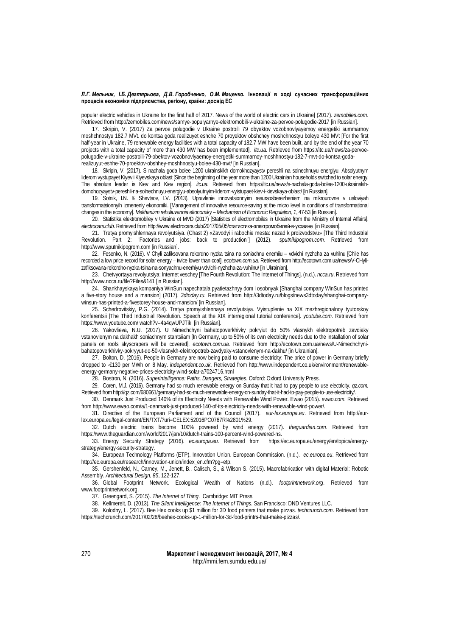popular electric vehicles in Ukraine for the first half of 2017. News of the world of electric cars in Ukraine] (2017). *zemobiles.com*. Retrieved fro[m http://zemobiles.com/news/samye-populyarnye-elektromobili-v-ukraine-za-pervoe-polugodie-2017](http://zemobiles.com/news/samye-populyarnye-elektromobili-v-ukraine-za-pervoe-polugodie-2017) [in Russian].

17. Skripin, V. (2017) Za pervoe polugodie v Ukraine postroili 79 obyektov vozobnovlyayemoy energetiki summarnoy moshchnostyu 182.7 MVt. do kontsa goda realizuyet eshche 70 proyektov obshchey moshchnostyu boleye 430 MVt [For the first half-year in Ukraine, 79 renewable energy facilities with a total capacity of 182.7 MW have been built, and by the end of the year 70 projects with a total capacity of more than 430 MW has been implemented]. *itc.ua.* Retrieved from [https://itc.ua/news/za-pervoe](https://itc.ua/news/za-pervoe-polugodie-v-ukraine-postroili-79-obektov-vozobnovlyaemoy-energetiki-summarnoy-moshhnostyu-182-7-mvt-do-kontsa-goda-realizuyut-eshhe-70-proektov-obshhey-moshhnostyu-bolee-430-mvt/)[polugodie-v-ukraine-postroili-79-obektov-vozobnovlyaemoy-energetiki-summarnoy-moshhnostyu-182-7-mvt-do-kontsa-goda](https://itc.ua/news/za-pervoe-polugodie-v-ukraine-postroili-79-obektov-vozobnovlyaemoy-energetiki-summarnoy-moshhnostyu-182-7-mvt-do-kontsa-goda-realizuyut-eshhe-70-proektov-obshhey-moshhnostyu-bolee-430-mvt/)[realizuyut-eshhe-70-proektov-obshhey-moshhnostyu-bolee-430-mvt/](https://itc.ua/news/za-pervoe-polugodie-v-ukraine-postroili-79-obektov-vozobnovlyaemoy-energetiki-summarnoy-moshhnostyu-182-7-mvt-do-kontsa-goda-realizuyut-eshhe-70-proektov-obshhey-moshhnostyu-bolee-430-mvt/) [in Russian].

18. Skripin, V. (2017). S nachala goda bolee 1200 ukrainskikh domokhozyaystv pereshli na solnechnuyu energiyu. Absolyutnym liderom vystupayet Kiyev i Kiyevskaya oblast [Since the beginning of the year more than 1200 Ukrainian households switched to solar energy. The absolute leader is Kiev and Kiev region]. *itc.ua.* Retrieved from [https://itc.ua/news/s-nachala-goda-bolee-1200-ukrainskih](https://itc.ua/news/s-nachala-goda-bolee-1200-ukrainskih-domohozyaystv-pereshli-na-solnechnuyu-energiyu-absolyutnyim-liderom-vyistupaet-kiev-i-kievskaya-oblast/)[domohozyaystv-pereshli-na-solnechnuyu-energiyu-absolyutnyim-liderom-vyistupaet-kiev-i-kievskaya-oblast/](https://itc.ua/news/s-nachala-goda-bolee-1200-ukrainskih-domohozyaystv-pereshli-na-solnechnuyu-energiyu-absolyutnyim-liderom-vyistupaet-kiev-i-kievskaya-oblast/) [in Russian].

19. Sotnik, I.N. & Shevtsov, I.V. (2013). Upravlenie innovatsionnyim resursosberezheniem na mikrourovne v usloviyah transformatsionnyih izmeneniy ekonomiki. [Management of innovative resource-saving at the micro level in conditions of transformational changes in the economy]. *Mekhanizm rehuliuvannia ekonomiky – Mechanism of Economic Regulation*, *1*, 47-53 [in Russian].

20. Statistika elektromobiley v Ukraine ot MVD (2017) [Statistics of electromobiles in Ukraine from the Ministry of Internal Affairs]. *electrocars.club*. Retrieved from [http://www.electrocars.club/2017/05/05/статистика](http://www.electrocars.club/2017/05/05/%D1%81%D1%82%D0%B0%D1%82%D0%B8%D1%81%D1%82%D0%B8%D0%BA%D0%B0-%D1%8D%D0%BB%D0%B5%D0%BA%D1%82%D1%80%D0%BE%D0%BC%D0%BE%D0%B1%D0%B8%D0%BB%D0%B5%D0%B9-%D0%B2-%D1%83%D0%BA%D1%80%D0%B0%D0%B8%D0%BD%D0%B5)-электромобилей-в-украине [in Russian].

21. Tretya promyishlennaya revolyutsiya. (Chast 2) «Zavodyi i rabochie mesta: nazad k proizvodstvu» [The Third Industrial Revolution. Part 2: "Factories and jobs: back to production"] (2012). *sputnikipogrom.com.* Retrieved from [http://www.sputnikipogrom.com](http://www.sputnikipogrom.com/) [in Russian].

22. Fesenko, N. (2016). V Chyli zafiksovana rekordno nyzka tsina na soniachnu enerhiiu – vdvichi nyzhcha za vuhilnu [Chile has recorded a low price record for solar energy – twice lower than coal]. *ecotown.com.ua.* Retrieved fro[m http://ecotown.com.ua/news/V-CHyli](http://ecotown.com.ua/news/V-CHyli-zafiksovana-rekordno-nyzka-tsina-na-sonyachnu-enerhiyu-vdvichi-nyzhcha-za-vuhilnu/)[zafiksovana-rekordno-nyzka-tsina-na-sonyachnu-enerhiyu-vdvichi-nyzhcha-za-vuhilnu/](http://ecotown.com.ua/news/V-CHyli-zafiksovana-rekordno-nyzka-tsina-na-sonyachnu-enerhiyu-vdvichi-nyzhcha-za-vuhilnu/) [in Ukrainian].

23. Chetvyortaya revolyutsiya: Internet veschey [The Fourth Revolution: The Internet of Things]. (n.d.). *ncca.ru*. Retrieved from <http://www.ncca.ru/file?Files&141> [in Russian].

24. Shankhayskaya kompaniya WinSun napechatala pyatietazhnyy dom i osobnyak [Shanghai company WinSun has printed a five-story house and a mansion] (2017). *3dtoday.ru.* Retrieved from [http://3dtoday.ru/blogs/news3dtoday/shanghai-company](http://3dtoday.ru/blogs/news3dtoday/shanghai-company-winsun-has-printed-a-fivestorey-house-and-mansion/)[winsun-has-printed-a-fivestorey-house-and-mansion/](http://3dtoday.ru/blogs/news3dtoday/shanghai-company-winsun-has-printed-a-fivestorey-house-and-mansion/) [in Russian].

25. Schedrovitskiy, P.G. (2014). Tretya promyishlennaya revolyutsiya. Vyistuplenie na XIX mezhregionalnoy tyutorskoy konferentsii [The Third Industrial Revolution. Speech at the XIX interregional tutorial conference]. *youtube.com*. Retrieved from https://www.youtube.com/ watch?v=4a4qwUPJTik [in Russian].

26. Yakovlieva, N.U. (2017). U Nimechchyni bahatopoverkhivky pokryiut do 50% vlasnykh elektropotreb zavdiaky vstanovlenym na dakhakh soniachnym stantsiiam [In Germany, up to 50% of its own electricity needs due to the installation of solar panels on roofs skyscrapers will be covered]. *ecotown.com.ua.* Retrieved from [http://ecotown.com.ua/news/U-Nimechchyni](http://ecotown.com.ua/news/U-Nimechchyni-bahatopoverkhivky-pokryyut-do-50-vlasnykh-elektropotreb-zavdyaky-vstanovlenym-na-dakhu/)[bahatopoverkhivky-pokryyut-do-50-vlasnykh-elektropotreb-zavdyaky-vstanovlenym-na-dakhu/](http://ecotown.com.ua/news/U-Nimechchyni-bahatopoverkhivky-pokryyut-do-50-vlasnykh-elektropotreb-zavdyaky-vstanovlenym-na-dakhu/) [in Ukrainian].

27. Bolton, D. (2016). People in Germany are now being paid to consume electricity: The price of power in Germany briefly dropped to -€130 per MWh on 8 May. *independent.co.uk*. Retrieved from [http://www.independent.co.uk/environment/renewable](http://www.independent.co.uk/environment/renewable-energy-germany-negative-prices-electricity-wind-solar-a7024716.html)[energy-germany-negative-prices-electricity-wind-solar-a7024716.html](http://www.independent.co.uk/environment/renewable-energy-germany-negative-prices-electricity-wind-solar-a7024716.html)

28. Bostron, N. (2016). *Superintelligence: Paths, Dangers, Strategies*. Oxford: Oxford University Press.

29. Coren, M.J. (2016). Germany had so much renewable energy on Sunday that it had to pay people to use electricity. *qz.com.* Retrieved fro[m http://qz.com/680661/germany-had-so-much-renewable-energy-on-sunday-that-it-had-to-pay-people-to-use-electricity/.](http://qz.com/680661/germany-had-so-much-renewable-energy-on-sunday-that-it-had-to-pay-people-to-use-electricity/)

30. Denmark Just Produced 140% of its Electricity Needs with Renewable Wind Power. Ewao (2015). *ewao.com.* Retrieved fro[m http://www.ewao.com/a/1-denmark-just-produced-140-of-its-electricity-needs-with-renewable-wind-power/.](http://www.ewao.com/a/1-denmark-just-produced-140-of-its-electricity-needs-with-renewable-wind-power/)

31. Directive of the European Parliament and of the Council (2017). *eur-lex.europa.eu*. Retrieved from [http://eur](http://eur-lex.europa.eu/legal-content/EN/TXT/?uri=CELEX:52016PC0767R%2801%29)[lex.europa.eu/legal-content/EN/TXT/?uri=CELEX:52016PC0767R%2801%29.](http://eur-lex.europa.eu/legal-content/EN/TXT/?uri=CELEX:52016PC0767R%2801%29)

32. Dutch electric trains become 100% powered by wind energy (2017). *theguardian.com*. Retrieved from [https://www.theguardian.com/world/2017/jan/10/dutch-trains-100-percent-wind-powered-ns.](https://www.theguardian.com/world/2017/jan/10/dutch-trains-100-percent-wind-powered-ns)<br>33. Energy Security Strategy (2016). ec.europa.eu. Retrieved from https://ec.europa.eu/energy/en/topics/energy-

33. Energy Security Strategy (2016). *ec.europa.eu*. Retrieved from [strategy/energy-security-strategy.](https://ec.europa.eu/energy/en/topics/energy-strategy/energy-security-strategy) 

34. European Technology Platforms (ETP). Innovation Union. European Commission. (n.d.). *ec.europa.eu*. Retrieved from [http://ec.europa.eu/research/innovation-union/index\\_en.cfm?pg=etp.](http://ec.europa.eu/research/innovation-union/index_en.cfm?pg=etp)

35. Gershenfeld, N., Carney, M., Jenett, B., Calisch, S., & Wilson S. (2015). Macrofabrication with digital Material: Robotic Assembly*. Architectural Design, 85*, 122-127.

36. Global Footprint Network. Ecological Wealth of Nations (n.d.). *footprintnetwork.org*. Retrieved from [www.footprintnetwork.org.](http://www.footprintnetwork.org/)

37. Greengard, S. (2015). *The Internet of Thing*. Cambridge: MIT Press.

38. Kellmereit, D. (2013). *The Silent Intelligence: The Internet of Things*. San Francisco: DND Ventures LLC.

39. Kolodny, L. (2017). Bee Hex cooks up \$1 million for 3D food printers that make pizzas. *techcrunch.com*. Retrieved from [https://techcrunch.com/2017/02/28/beehex-cooks-up-1-million-for-3d-food-printrs-that-make-pizzas/.](https://techcrunch.com/2017/02/28/beehex-cooks-up-1-million-for-3d-food-printrs-that-make-pizzas/)

> **Маркетинг і менеджмент інновацій, 2017, № 4** http://mmi.fem.sumdu.edu.ua/